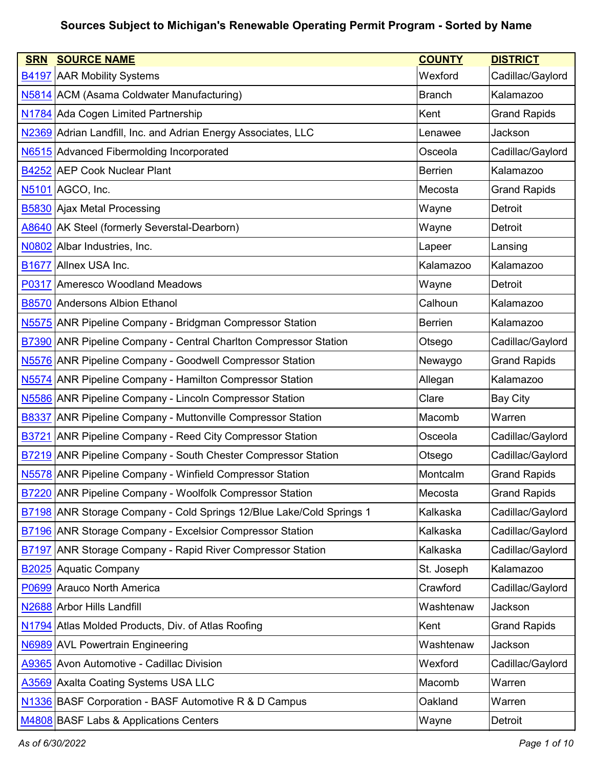| <b>SRN</b>   | <b>SOURCE NAME</b>                                                          | <b>COUNTY</b>  | <b>DISTRICT</b>     |
|--------------|-----------------------------------------------------------------------------|----------------|---------------------|
|              | <b>B4197 AAR Mobility Systems</b>                                           | Wexford        | Cadillac/Gaylord    |
|              | N5814 ACM (Asama Coldwater Manufacturing)                                   | <b>Branch</b>  | Kalamazoo           |
|              | N1784 Ada Cogen Limited Partnership                                         | Kent           | <b>Grand Rapids</b> |
|              | N2369 Adrian Landfill, Inc. and Adrian Energy Associates, LLC               | Lenawee        | Jackson             |
|              | N6515 Advanced Fibermolding Incorporated                                    | Osceola        | Cadillac/Gaylord    |
|              | B4252 AEP Cook Nuclear Plant                                                | <b>Berrien</b> | Kalamazoo           |
|              | N5101 AGCO, Inc.                                                            | Mecosta        | <b>Grand Rapids</b> |
|              | <b>B5830 Ajax Metal Processing</b>                                          | Wayne          | Detroit             |
|              | A8640 AK Steel (formerly Severstal-Dearborn)                                | Wayne          | Detroit             |
|              | N0802 Albar Industries, Inc.                                                | Lapeer         | Lansing             |
| <b>B1677</b> | Allnex USA Inc.                                                             | Kalamazoo      | Kalamazoo           |
|              | P0317 Ameresco Woodland Meadows                                             | Wayne          | <b>Detroit</b>      |
|              | <b>B8570</b> Andersons Albion Ethanol                                       | Calhoun        | Kalamazoo           |
|              | N5575 ANR Pipeline Company - Bridgman Compressor Station                    | <b>Berrien</b> | Kalamazoo           |
| <b>B7390</b> | <b>ANR Pipeline Company - Central Charlton Compressor Station</b>           | Otsego         | Cadillac/Gaylord    |
|              | N5576 ANR Pipeline Company - Goodwell Compressor Station                    | Newaygo        | <b>Grand Rapids</b> |
| N5574        | <b>ANR Pipeline Company - Hamilton Compressor Station</b>                   | Allegan        | Kalamazoo           |
|              | N5586 ANR Pipeline Company - Lincoln Compressor Station                     | Clare          | <b>Bay City</b>     |
| <b>B8337</b> | ANR Pipeline Company - Muttonville Compressor Station                       | Macomb         | Warren              |
| <b>B3721</b> | <b>ANR Pipeline Company - Reed City Compressor Station</b>                  | Osceola        | Cadillac/Gaylord    |
|              | <b>B7219</b> ANR Pipeline Company - South Chester Compressor Station        | Otsego         | Cadillac/Gaylord    |
|              | N5578 ANR Pipeline Company - Winfield Compressor Station                    | Montcalm       | <b>Grand Rapids</b> |
|              | B7220 ANR Pipeline Company - Woolfolk Compressor Station                    | Mecosta        | <b>Grand Rapids</b> |
|              | <b>B7198</b> ANR Storage Company - Cold Springs 12/Blue Lake/Cold Springs 1 | Kalkaska       | Cadillac/Gaylord    |
|              | <b>B7196 ANR Storage Company - Excelsior Compressor Station</b>             | Kalkaska       | Cadillac/Gaylord    |
|              | <b>B7197 ANR Storage Company - Rapid River Compressor Station</b>           | Kalkaska       | Cadillac/Gaylord    |
|              | <b>B2025</b> Aquatic Company                                                | St. Joseph     | Kalamazoo           |
|              | P0699 Arauco North America                                                  | Crawford       | Cadillac/Gaylord    |
|              | N2688 Arbor Hills Landfill                                                  | Washtenaw      | Jackson             |
|              | N1794 Atlas Molded Products, Div. of Atlas Roofing                          | Kent           | <b>Grand Rapids</b> |
|              | N6989 AVL Powertrain Engineering                                            | Washtenaw      | Jackson             |
|              | A9365 Avon Automotive - Cadillac Division                                   | Wexford        | Cadillac/Gaylord    |
|              | A3569 Axalta Coating Systems USA LLC                                        | Macomb         | Warren              |
|              | N1336 BASF Corporation - BASF Automotive R & D Campus                       | Oakland        | Warren              |
|              | M4808 BASF Labs & Applications Centers                                      | Wayne          | Detroit             |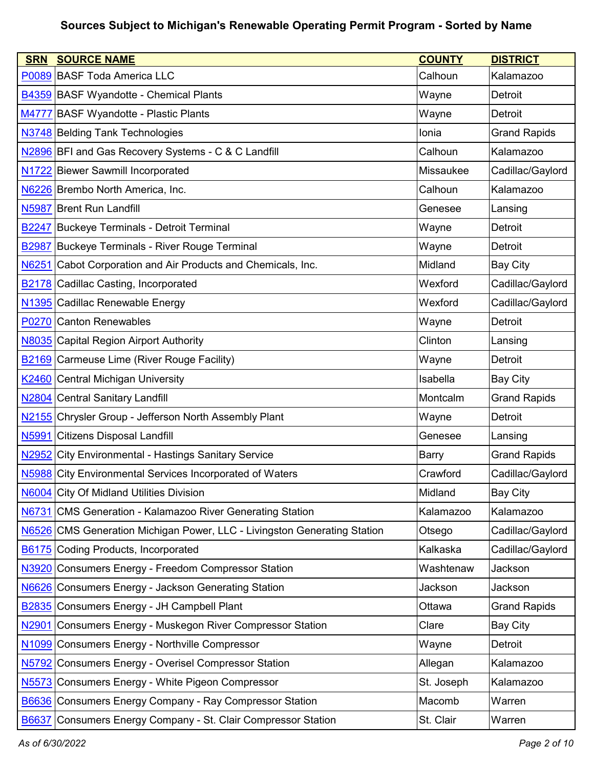| <b>SRN</b>        | <b>SOURCE NAME</b>                                                       | <b>COUNTY</b> | <b>DISTRICT</b>     |
|-------------------|--------------------------------------------------------------------------|---------------|---------------------|
|                   | P0089 BASF Toda America LLC                                              | Calhoun       | Kalamazoo           |
|                   | <b>B4359 BASF Wyandotte - Chemical Plants</b>                            | Wayne         | Detroit             |
|                   | M4777 BASF Wyandotte - Plastic Plants                                    | Wayne         | Detroit             |
|                   | N3748 Belding Tank Technologies                                          | Ionia         | <b>Grand Rapids</b> |
|                   | N2896 BFI and Gas Recovery Systems - C & C Landfill                      | Calhoun       | Kalamazoo           |
|                   | N1722 Biewer Sawmill Incorporated                                        | Missaukee     | Cadillac/Gaylord    |
|                   | N6226 Brembo North America, Inc.                                         | Calhoun       | Kalamazoo           |
| <b>N5987</b>      | <b>Brent Run Landfill</b>                                                | Genesee       | Lansing             |
| <b>B2247</b>      | <b>Buckeye Terminals - Detroit Terminal</b>                              | Wayne         | Detroit             |
| <b>B2987</b>      | Buckeye Terminals - River Rouge Terminal                                 | Wayne         | Detroit             |
| N6251             | Cabot Corporation and Air Products and Chemicals, Inc.                   | Midland       | <b>Bay City</b>     |
| B <sub>2178</sub> | Cadillac Casting, Incorporated                                           | Wexford       | Cadillac/Gaylord    |
|                   | N1395 Cadillac Renewable Energy                                          | Wexford       | Cadillac/Gaylord    |
|                   | P0270 Canton Renewables                                                  | Wayne         | <b>Detroit</b>      |
|                   | N8035 Capital Region Airport Authority                                   | Clinton       | Lansing             |
|                   | <b>B2169</b> Carmeuse Lime (River Rouge Facility)                        | Wayne         | Detroit             |
|                   | K2460 Central Michigan University                                        | Isabella      | <b>Bay City</b>     |
| N <sub>2804</sub> | Central Sanitary Landfill                                                | Montcalm      | <b>Grand Rapids</b> |
| N <sub>2155</sub> | Chrysler Group - Jefferson North Assembly Plant                          | Wayne         | Detroit             |
| N5991             | <b>Citizens Disposal Landfill</b>                                        | Genesee       | Lansing             |
| N <sub>2952</sub> | City Environmental - Hastings Sanitary Service                           | <b>Barry</b>  | <b>Grand Rapids</b> |
|                   | N5988 City Environmental Services Incorporated of Waters                 | Crawford      | Cadillac/Gaylord    |
|                   | N6004 City Of Midland Utilities Division                                 | Midland       | <b>Bay City</b>     |
| N6731             | <b>CMS Generation - Kalamazoo River Generating Station</b>               | Kalamazoo     | Kalamazoo           |
|                   | N6526 CMS Generation Michigan Power, LLC - Livingston Generating Station | Otsego        | Cadillac/Gaylord    |
| B6175             | Coding Products, Incorporated                                            | Kalkaska      | Cadillac/Gaylord    |
| N3920             | Consumers Energy - Freedom Compressor Station                            | Washtenaw     | Jackson             |
|                   | N6626 Consumers Energy - Jackson Generating Station                      | Jackson       | Jackson             |
| B <sub>2835</sub> | Consumers Energy - JH Campbell Plant                                     | Ottawa        | <b>Grand Rapids</b> |
| N <sub>2901</sub> | Consumers Energy - Muskegon River Compressor Station                     | Clare         | <b>Bay City</b>     |
| N <sub>1099</sub> | Consumers Energy - Northville Compressor                                 | Wayne         | Detroit             |
| N5792             | <b>Consumers Energy - Overisel Compressor Station</b>                    | Allegan       | Kalamazoo           |
| N <sub>5573</sub> | Consumers Energy - White Pigeon Compressor                               | St. Joseph    | Kalamazoo           |
|                   | <b>B6636</b> Consumers Energy Company - Ray Compressor Station           | Macomb        | Warren              |
| <b>B6637</b>      | Consumers Energy Company - St. Clair Compressor Station                  | St. Clair     | Warren              |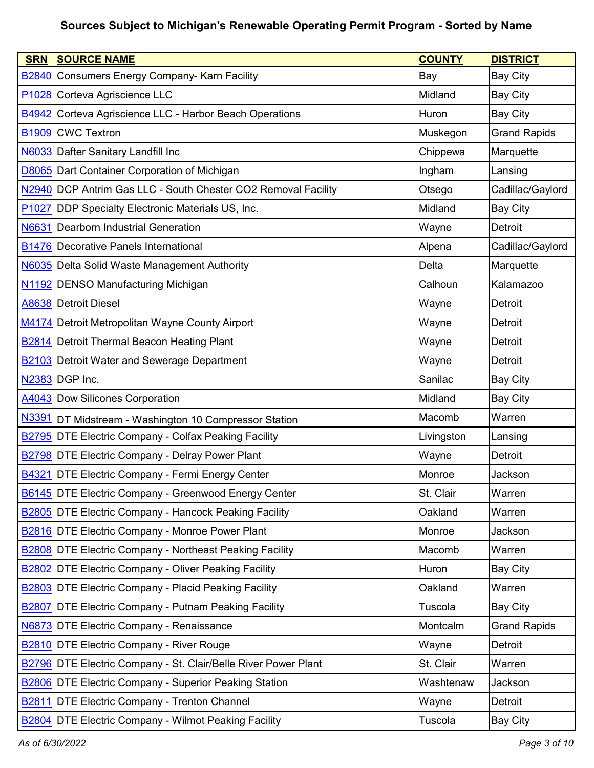| <b>SRN</b>        | <b>SOURCE NAME</b>                                                    | <b>COUNTY</b> | <b>DISTRICT</b>     |
|-------------------|-----------------------------------------------------------------------|---------------|---------------------|
|                   | <b>B2840</b> Consumers Energy Company- Karn Facility                  | Bay           | <b>Bay City</b>     |
|                   | P1028 Corteva Agriscience LLC                                         | Midland       | <b>Bay City</b>     |
| B4942             | Corteva Agriscience LLC - Harbor Beach Operations                     | Huron         | <b>Bay City</b>     |
|                   | <b>B1909</b> CWC Textron                                              | Muskegon      | <b>Grand Rapids</b> |
|                   | N6033 Dafter Sanitary Landfill Inc                                    | Chippewa      | Marquette           |
|                   | <b>D8065</b> Dart Container Corporation of Michigan                   | Ingham        | Lansing             |
|                   | N2940 DCP Antrim Gas LLC - South Chester CO2 Removal Facility         | Otsego        | Cadillac/Gaylord    |
| P <sub>1027</sub> | DDP Specialty Electronic Materials US, Inc.                           | Midland       | <b>Bay City</b>     |
| N6631             | Dearborn Industrial Generation                                        | Wayne         | Detroit             |
|                   | <b>B1476 Decorative Panels International</b>                          | Alpena        | Cadillac/Gaylord    |
|                   | N6035 Delta Solid Waste Management Authority                          | Delta         | Marquette           |
|                   | N1192 DENSO Manufacturing Michigan                                    | Calhoun       | Kalamazoo           |
|                   | A8638 Detroit Diesel                                                  | Wayne         | Detroit             |
|                   | M4174 Detroit Metropolitan Wayne County Airport                       | Wayne         | Detroit             |
|                   | <b>B2814</b> Detroit Thermal Beacon Heating Plant                     | Wayne         | Detroit             |
|                   | <b>B2103</b> Detroit Water and Sewerage Department                    | Wayne         | Detroit             |
|                   | N2383 DGP Inc.                                                        | Sanilac       | <b>Bay City</b>     |
|                   | A4043 Dow Silicones Corporation                                       | Midland       | <b>Bay City</b>     |
| N3391             | DT Midstream - Washington 10 Compressor Station                       | Macomb        | Warren              |
|                   | B2795 DTE Electric Company - Colfax Peaking Facility                  | Livingston    | Lansing             |
|                   | <b>B2798 DTE Electric Company - Delray Power Plant</b>                | Wayne         | <b>Detroit</b>      |
|                   | <b>B4321 DTE Electric Company - Fermi Energy Center</b>               | Monroe        | Jackson             |
|                   | B6145 DTE Electric Company - Greenwood Energy Center                  | St. Clair     | Warren              |
|                   | <b>B2805 DTE Electric Company - Hancock Peaking Facility</b>          | Oakland       | Warren              |
|                   | <b>B2816 DTE Electric Company - Monroe Power Plant</b>                | Monroe        | Jackson             |
|                   | <b>B2808 DTE Electric Company - Northeast Peaking Facility</b>        | Macomb        | Warren              |
| <b>B2802</b>      | DTE Electric Company - Oliver Peaking Facility                        | Huron         | <b>Bay City</b>     |
|                   | <b>B2803</b> DTE Electric Company - Placid Peaking Facility           | Oakland       | Warren              |
| <b>B2807</b>      | DTE Electric Company - Putnam Peaking Facility                        | Tuscola       | <b>Bay City</b>     |
|                   | N6873 DTE Electric Company - Renaissance                              | Montcalm      | <b>Grand Rapids</b> |
|                   | <b>B2810 DTE Electric Company - River Rouge</b>                       | Wayne         | Detroit             |
|                   | <b>B2796 DTE Electric Company - St. Clair/Belle River Power Plant</b> | St. Clair     | Warren              |
|                   | <b>B2806</b> DTE Electric Company - Superior Peaking Station          | Washtenaw     | Jackson             |
|                   | <b>B2811 DTE Electric Company - Trenton Channel</b>                   | Wayne         | Detroit             |
|                   | <b>B2804</b> DTE Electric Company - Wilmot Peaking Facility           | Tuscola       | <b>Bay City</b>     |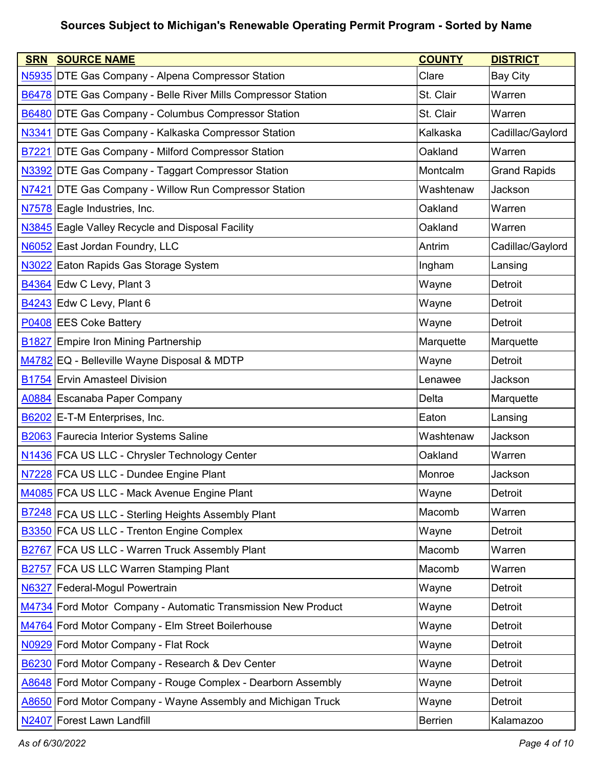| <b>SRN</b>        | <b>SOURCE NAME</b>                                                  | <b>COUNTY</b>  | <b>DISTRICT</b>     |
|-------------------|---------------------------------------------------------------------|----------------|---------------------|
|                   | N5935 DTE Gas Company - Alpena Compressor Station                   | Clare          | <b>Bay City</b>     |
|                   | <b>B6478 DTE Gas Company - Belle River Mills Compressor Station</b> | St. Clair      | Warren              |
|                   | <b>B6480 DTE Gas Company - Columbus Compressor Station</b>          | St. Clair      | Warren              |
|                   | N3341 DTE Gas Company - Kalkaska Compressor Station                 | Kalkaska       | Cadillac/Gaylord    |
|                   | <b>B7221 DTE Gas Company - Milford Compressor Station</b>           | Oakland        | Warren              |
|                   | N3392 DTE Gas Company - Taggart Compressor Station                  | Montcalm       | <b>Grand Rapids</b> |
|                   | N7421 DTE Gas Company - Willow Run Compressor Station               | Washtenaw      | Jackson             |
|                   | N7578 Eagle Industries, Inc.                                        | Oakland        | Warren              |
|                   | N3845 Eagle Valley Recycle and Disposal Facility                    | Oakland        | Warren              |
|                   | N6052 East Jordan Foundry, LLC                                      | Antrim         | Cadillac/Gaylord    |
|                   | N3022 Eaton Rapids Gas Storage System                               | Ingham         | Lansing             |
|                   | $\overline{B4364}$ Edw C Levy, Plant 3                              | Wayne          | Detroit             |
|                   | B4243 Edw C Levy, Plant 6                                           | Wayne          | <b>Detroit</b>      |
|                   | P0408 EES Coke Battery                                              | Wayne          | Detroit             |
|                   | <b>B1827</b> Empire Iron Mining Partnership                         | Marquette      | Marquette           |
|                   | M4782 EQ - Belleville Wayne Disposal & MDTP                         | Wayne          | Detroit             |
|                   | <b>B1754 Ervin Amasteel Division</b>                                | Lenawee        | Jackson             |
|                   | A0884 Escanaba Paper Company                                        | Delta          | Marquette           |
|                   | B6202 E-T-M Enterprises, Inc.                                       | Eaton          | Lansing             |
|                   | B2063 Faurecia Interior Systems Saline                              | Washtenaw      | Jackson             |
|                   | N1436 FCA US LLC - Chrysler Technology Center                       | Oakland        | Warren              |
|                   | N7228 FCA US LLC - Dundee Engine Plant                              | Monroe         | Jackson             |
|                   | M4085 FCA US LLC - Mack Avenue Engine Plant                         | Wayne          | <b>Detroit</b>      |
|                   | B7248 FCA US LLC - Sterling Heights Assembly Plant                  | Macomb         | Warren              |
|                   | B3350 FCA US LLC - Trenton Engine Complex                           | Wayne          | Detroit             |
|                   | <b>B2767 FCA US LLC - Warren Truck Assembly Plant</b>               | Macomb         | Warren              |
| B2757             | <b>FCA US LLC Warren Stamping Plant</b>                             | Macomb         | Warren              |
|                   | N6327 Federal-Mogul Powertrain                                      | Wayne          | Detroit             |
|                   | M4734 Ford Motor Company - Automatic Transmission New Product       | Wayne          | Detroit             |
|                   | M4764 Ford Motor Company - Elm Street Boilerhouse                   | Wayne          | Detroit             |
|                   | N0929 Ford Motor Company - Flat Rock                                | Wayne          | Detroit             |
|                   | B6230 Ford Motor Company - Research & Dev Center                    | Wayne          | Detroit             |
|                   | A8648 Ford Motor Company - Rouge Complex - Dearborn Assembly        | Wayne          | Detroit             |
|                   | A8650 Ford Motor Company - Wayne Assembly and Michigan Truck        | Wayne          | Detroit             |
| N <sub>2407</sub> | <b>Forest Lawn Landfill</b>                                         | <b>Berrien</b> | Kalamazoo           |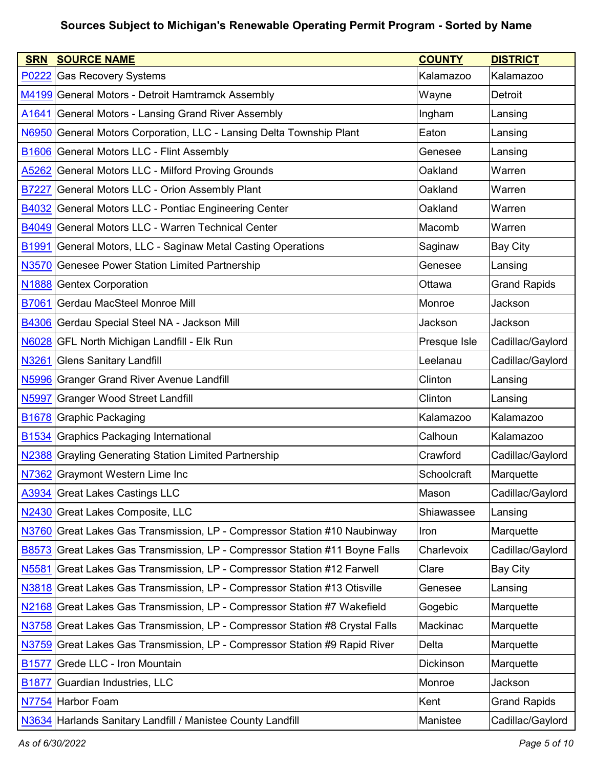| <b>SRN</b>        | <b>SOURCE NAME</b>                                                           | <b>COUNTY</b> | <b>DISTRICT</b>     |
|-------------------|------------------------------------------------------------------------------|---------------|---------------------|
| P0222             | <b>Gas Recovery Systems</b>                                                  | Kalamazoo     | Kalamazoo           |
|                   | M4199 General Motors - Detroit Hamtramck Assembly                            | Wayne         | Detroit             |
| A <sub>1641</sub> | <b>General Motors - Lansing Grand River Assembly</b>                         | Ingham        | Lansing             |
|                   | N6950 General Motors Corporation, LLC - Lansing Delta Township Plant         | Eaton         | Lansing             |
|                   | <b>B1606 General Motors LLC - Flint Assembly</b>                             | Genesee       | Lansing             |
| A5262             | <b>General Motors LLC - Milford Proving Grounds</b>                          | Oakland       | Warren              |
| <b>B7227</b>      | <b>General Motors LLC - Orion Assembly Plant</b>                             | Oakland       | Warren              |
| B4032             | General Motors LLC - Pontiac Engineering Center                              | Oakland       | Warren              |
|                   | B4049 General Motors LLC - Warren Technical Center                           | Macomb        | Warren              |
| B <sub>1991</sub> | General Motors, LLC - Saginaw Metal Casting Operations                       | Saginaw       | <b>Bay City</b>     |
|                   | N3570 Genesee Power Station Limited Partnership                              | Genesee       | Lansing             |
|                   | N <sub>1888</sub> Gentex Corporation                                         | Ottawa        | <b>Grand Rapids</b> |
| <b>B7061</b>      | Gerdau MacSteel Monroe Mill                                                  | Monroe        | Jackson             |
|                   | B4306 Gerdau Special Steel NA - Jackson Mill                                 | Jackson       | Jackson             |
| N6028             | <b>GFL North Michigan Landfill - Elk Run</b>                                 | Presque Isle  | Cadillac/Gaylord    |
| N3261             | <b>Glens Sanitary Landfill</b>                                               | Leelanau      | Cadillac/Gaylord    |
|                   | N5996 Granger Grand River Avenue Landfill                                    | Clinton       | Lansing             |
| <b>N5997</b>      | <b>Granger Wood Street Landfill</b>                                          | Clinton       | Lansing             |
| B <sub>1678</sub> | <b>Graphic Packaging</b>                                                     | Kalamazoo     | Kalamazoo           |
| B <sub>1534</sub> | <b>Graphics Packaging International</b>                                      | Calhoun       | Kalamazoo           |
|                   | N2388 Grayling Generating Station Limited Partnership                        | Crawford      | Cadillac/Gaylord    |
|                   | N7362 Graymont Western Lime Inc                                              | Schoolcraft   | Marquette           |
|                   | A3934 Great Lakes Castings LLC                                               | Mason         | Cadillac/Gaylord    |
|                   | N2430 Great Lakes Composite, LLC                                             | Shiawassee    | Lansing             |
|                   | N3760 Great Lakes Gas Transmission, LP - Compressor Station #10 Naubinway    | Iron          | Marquette           |
| <b>B8573</b>      | Great Lakes Gas Transmission, LP - Compressor Station #11 Boyne Falls        | Charlevoix    | Cadillac/Gaylord    |
| N <sub>5581</sub> | Great Lakes Gas Transmission, LP - Compressor Station #12 Farwell            | Clare         | Bay City            |
|                   | N3818 Great Lakes Gas Transmission, LP - Compressor Station #13 Otisville    | Genesee       | Lansing             |
|                   | N2168 Great Lakes Gas Transmission, LP - Compressor Station #7 Wakefield     | Gogebic       | Marquette           |
|                   | N3758 Great Lakes Gas Transmission, LP - Compressor Station #8 Crystal Falls | Mackinac      | Marquette           |
| N3759             | Great Lakes Gas Transmission, LP - Compressor Station #9 Rapid River         | Delta         | Marquette           |
| <b>B1577</b>      | Grede LLC - Iron Mountain                                                    | Dickinson     | Marquette           |
| B <sub>1877</sub> | Guardian Industries, LLC                                                     | Monroe        | Jackson             |
|                   | N7754 Harbor Foam                                                            | Kent          | <b>Grand Rapids</b> |
|                   | N3634 Harlands Sanitary Landfill / Manistee County Landfill                  | Manistee      | Cadillac/Gaylord    |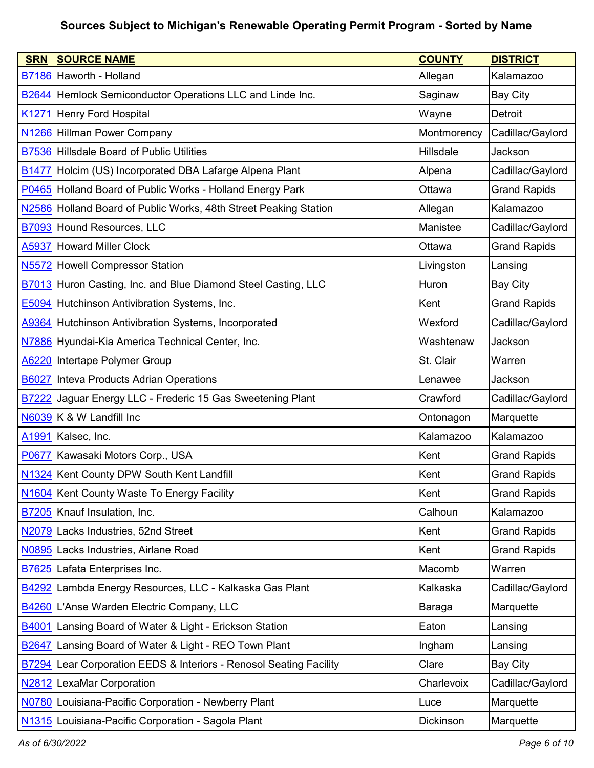| <b>SRN</b>        | <b>SOURCE NAME</b>                                                        | <b>COUNTY</b>    | <b>DISTRICT</b>     |
|-------------------|---------------------------------------------------------------------------|------------------|---------------------|
|                   | B7186 Haworth - Holland                                                   | Allegan          | Kalamazoo           |
|                   | <b>B2644</b> Hemlock Semiconductor Operations LLC and Linde Inc.          | Saginaw          | <b>Bay City</b>     |
| K <sub>1271</sub> | Henry Ford Hospital                                                       | Wayne            | Detroit             |
|                   | N1266 Hillman Power Company                                               | Montmorency      | Cadillac/Gaylord    |
|                   | B7536 Hillsdale Board of Public Utilities                                 | <b>Hillsdale</b> | Jackson             |
| <b>B1477</b>      | Holcim (US) Incorporated DBA Lafarge Alpena Plant                         | Alpena           | Cadillac/Gaylord    |
|                   | P0465 Holland Board of Public Works - Holland Energy Park                 | Ottawa           | <b>Grand Rapids</b> |
|                   | N2586 Holland Board of Public Works, 48th Street Peaking Station          | Allegan          | Kalamazoo           |
|                   | <b>B7093</b> Hound Resources, LLC                                         | Manistee         | Cadillac/Gaylord    |
| A5937             | <b>Howard Miller Clock</b>                                                | Ottawa           | <b>Grand Rapids</b> |
|                   | N5572 Howell Compressor Station                                           | Livingston       | Lansing             |
| B7013             | Huron Casting, Inc. and Blue Diamond Steel Casting, LLC                   | Huron            | <b>Bay City</b>     |
|                   | <b>E5094</b> Hutchinson Antivibration Systems, Inc.                       | Kent             | <b>Grand Rapids</b> |
|                   | A9364 Hutchinson Antivibration Systems, Incorporated                      | Wexford          | Cadillac/Gaylord    |
|                   | N7886 Hyundai-Kia America Technical Center, Inc.                          | Washtenaw        | Jackson             |
|                   | A6220 Intertape Polymer Group                                             | St. Clair        | Warren              |
| <b>B6027</b>      | Inteva Products Adrian Operations                                         | Lenawee          | Jackson             |
| <b>B7222</b>      | Jaguar Energy LLC - Frederic 15 Gas Sweetening Plant                      | Crawford         | Cadillac/Gaylord    |
|                   | N6039 K & W Landfill Inc                                                  | Ontonagon        | Marquette           |
| A <sub>1991</sub> | Kalsec, Inc.                                                              | Kalamazoo        | Kalamazoo           |
| P0677             | Kawasaki Motors Corp., USA                                                | Kent             | <b>Grand Rapids</b> |
|                   | N1324 Kent County DPW South Kent Landfill                                 | Kent             | <b>Grand Rapids</b> |
|                   | N1604 Kent County Waste To Energy Facility                                | Kent             | <b>Grand Rapids</b> |
|                   | B7205 Knauf Insulation, Inc.                                              | Calhoun          | Kalamazoo           |
|                   | N2079 Lacks Industries, 52nd Street                                       | Kent             | <b>Grand Rapids</b> |
|                   | N0895 Lacks Industries, Airlane Road                                      | Kent             | <b>Grand Rapids</b> |
|                   | <b>B7625</b> Lafata Enterprises Inc.                                      | Macomb           | Warren              |
|                   | B4292 Lambda Energy Resources, LLC - Kalkaska Gas Plant                   | Kalkaska         | Cadillac/Gaylord    |
|                   | B4260 L'Anse Warden Electric Company, LLC                                 | Baraga           | Marquette           |
| <b>B4001</b>      | Lansing Board of Water & Light - Erickson Station                         | Eaton            | Lansing             |
| <b>B2647</b>      | Lansing Board of Water & Light - REO Town Plant                           | Ingham           | Lansing             |
|                   | <b>B7294</b> Lear Corporation EEDS & Interiors - Renosol Seating Facility | Clare            | <b>Bay City</b>     |
|                   | N2812 LexaMar Corporation                                                 | Charlevoix       | Cadillac/Gaylord    |
|                   | N0780 Louisiana-Pacific Corporation - Newberry Plant                      | Luce             | Marquette           |
|                   | N1315 Louisiana-Pacific Corporation - Sagola Plant                        | Dickinson        | Marquette           |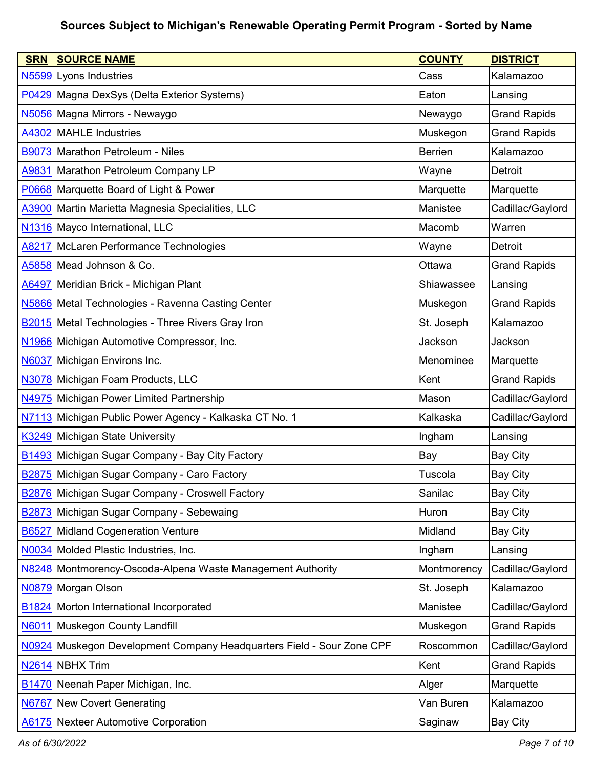| <b>SRN</b>        | <b>SOURCE NAME</b>                                              | <b>COUNTY</b>  | <b>DISTRICT</b>     |
|-------------------|-----------------------------------------------------------------|----------------|---------------------|
| N <sub>5599</sub> | Lyons Industries                                                | Cass           | Kalamazoo           |
|                   | P0429 Magna DexSys (Delta Exterior Systems)                     | Eaton          | Lansing             |
|                   | N5056 Magna Mirrors - Newaygo                                   | Newaygo        | <b>Grand Rapids</b> |
| A4302             | MAHLE Industries                                                | Muskegon       | <b>Grand Rapids</b> |
|                   | B9073 Marathon Petroleum - Niles                                | <b>Berrien</b> | Kalamazoo           |
|                   | A9831 Marathon Petroleum Company LP                             | Wayne          | Detroit             |
|                   | P0668 Marquette Board of Light & Power                          | Marquette      | Marquette           |
|                   | A3900 Martin Marietta Magnesia Specialities, LLC                | Manistee       | Cadillac/Gaylord    |
|                   | N1316 Mayco International, LLC                                  | Macomb         | Warren              |
| A8217             | McLaren Performance Technologies                                | Wayne          | Detroit             |
|                   | A5858 Mead Johnson & Co.                                        | Ottawa         | <b>Grand Rapids</b> |
| A6497             | Meridian Brick - Michigan Plant                                 | Shiawassee     | Lansing             |
|                   | N5866 Metal Technologies - Ravenna Casting Center               | Muskegon       | <b>Grand Rapids</b> |
|                   | <b>B2015</b> Metal Technologies - Three Rivers Gray Iron        | St. Joseph     | Kalamazoo           |
|                   | N1966 Michigan Automotive Compressor, Inc.                      | Jackson        | Jackson             |
| <b>N6037</b>      | Michigan Environs Inc.                                          | Menominee      | Marquette           |
|                   | N3078 Michigan Foam Products, LLC                               | Kent           | <b>Grand Rapids</b> |
| N4975             | Michigan Power Limited Partnership                              | Mason          | Cadillac/Gaylord    |
|                   | N7113 Michigan Public Power Agency - Kalkaska CT No. 1          | Kalkaska       | Cadillac/Gaylord    |
|                   | K3249 Michigan State University                                 | Ingham         | Lansing             |
|                   | <b>B1493</b> Michigan Sugar Company - Bay City Factory          | Bay            | <b>Bay City</b>     |
|                   | B2875 Michigan Sugar Company - Caro Factory                     | Tuscola        | <b>Bay City</b>     |
| <b>B2876</b>      | Michigan Sugar Company - Croswell Factory                       | Sanilac        | <b>Bay City</b>     |
| B <sub>2873</sub> | Michigan Sugar Company - Sebewaing                              | Huron          | <b>Bay City</b>     |
| <b>B6527</b>      | <b>Midland Cogeneration Venture</b>                             | Midland        | <b>Bay City</b>     |
|                   | N0034 Molded Plastic Industries, Inc.                           | Ingham         | Lansing             |
|                   | N8248 Montmorency-Oscoda-Alpena Waste Management Authority      | Montmorency    | Cadillac/Gaylord    |
|                   | N0879 Morgan Olson                                              | St. Joseph     | Kalamazoo           |
|                   | <b>B1824</b> Morton International Incorporated                  | Manistee       | Cadillac/Gaylord    |
| N6011             | Muskegon County Landfill                                        | Muskegon       | <b>Grand Rapids</b> |
| N0924             | Muskegon Development Company Headquarters Field - Sour Zone CPF | Roscommon      | Cadillac/Gaylord    |
| N <sub>2614</sub> | <b>NBHX Trim</b>                                                | Kent           | <b>Grand Rapids</b> |
| <b>B1470</b>      | Neenah Paper Michigan, Inc.                                     | Alger          | Marquette           |
| N6767             | <b>New Covert Generating</b>                                    | Van Buren      | Kalamazoo           |
| A6175             | <b>Nexteer Automotive Corporation</b>                           | Saginaw        | <b>Bay City</b>     |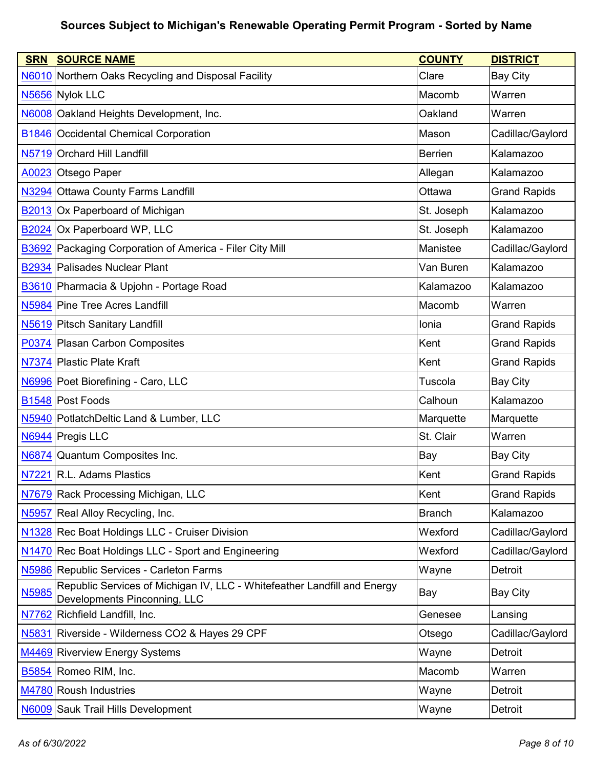| <b>SRN</b>   | <b>SOURCE NAME</b>                                                                                       | <b>COUNTY</b> | <b>DISTRICT</b>     |
|--------------|----------------------------------------------------------------------------------------------------------|---------------|---------------------|
|              | N6010 Northern Oaks Recycling and Disposal Facility                                                      | Clare         | <b>Bay City</b>     |
|              | N5656 Nylok LLC                                                                                          | Macomb        | Warren              |
|              | N6008 Oakland Heights Development, Inc.                                                                  | Oakland       | Warren              |
|              | <b>B1846 Occidental Chemical Corporation</b>                                                             | Mason         | Cadillac/Gaylord    |
|              | N5719 Orchard Hill Landfill                                                                              | Berrien       | Kalamazoo           |
|              | A0023 Otsego Paper                                                                                       | Allegan       | Kalamazoo           |
|              | N3294 Ottawa County Farms Landfill                                                                       | Ottawa        | <b>Grand Rapids</b> |
|              | <b>B2013</b> Ox Paperboard of Michigan                                                                   | St. Joseph    | Kalamazoo           |
| <b>B2024</b> | Ox Paperboard WP, LLC                                                                                    | St. Joseph    | Kalamazoo           |
|              | <b>B3692</b> Packaging Corporation of America - Filer City Mill                                          | Manistee      | Cadillac/Gaylord    |
|              | B2934 Palisades Nuclear Plant                                                                            | Van Buren     | Kalamazoo           |
|              | B3610 Pharmacia & Upjohn - Portage Road                                                                  | Kalamazoo     | Kalamazoo           |
|              | N5984 Pine Tree Acres Landfill                                                                           | Macomb        | Warren              |
|              | N5619 Pitsch Sanitary Landfill                                                                           | Ionia         | <b>Grand Rapids</b> |
|              | P0374 Plasan Carbon Composites                                                                           | Kent          | <b>Grand Rapids</b> |
|              | N7374 Plastic Plate Kraft                                                                                | Kent          | <b>Grand Rapids</b> |
|              | N6996 Poet Biorefining - Caro, LLC                                                                       | Tuscola       | <b>Bay City</b>     |
|              | B <sub>1548</sub> Post Foods                                                                             | Calhoun       | Kalamazoo           |
|              | N5940 PotlatchDeltic Land & Lumber, LLC                                                                  | Marquette     | Marquette           |
|              | N6944 Pregis LLC                                                                                         | St. Clair     | Warren              |
|              | N6874 Quantum Composites Inc.                                                                            | Bay           | <b>Bay City</b>     |
|              | N7221 R.L. Adams Plastics                                                                                | Kent          | <b>Grand Rapids</b> |
|              | N7679 Rack Processing Michigan, LLC                                                                      | Kent          | <b>Grand Rapids</b> |
| N5957        | Real Alloy Recycling, Inc.                                                                               | <b>Branch</b> | Kalamazoo           |
|              | N1328 Rec Boat Holdings LLC - Cruiser Division                                                           | Wexford       | Cadillac/Gaylord    |
|              | N1470 Rec Boat Holdings LLC - Sport and Engineering                                                      | Wexford       | Cadillac/Gaylord    |
|              | N5986 Republic Services - Carleton Farms                                                                 | Wayne         | Detroit             |
| N5985        | Republic Services of Michigan IV, LLC - Whitefeather Landfill and Energy<br>Developments Pinconning, LLC | Bay           | <b>Bay City</b>     |
|              | N7762 Richfield Landfill, Inc.                                                                           | Genesee       | Lansing             |
| N5831        | Riverside - Wilderness CO2 & Hayes 29 CPF                                                                | Otsego        | Cadillac/Gaylord    |
|              | M4469 Riverview Energy Systems                                                                           | Wayne         | Detroit             |
|              | B5854 Romeo RIM, Inc.                                                                                    | Macomb        | Warren              |
|              | M4780 Roush Industries                                                                                   | Wayne         | Detroit             |
|              | N6009 Sauk Trail Hills Development                                                                       | Wayne         | Detroit             |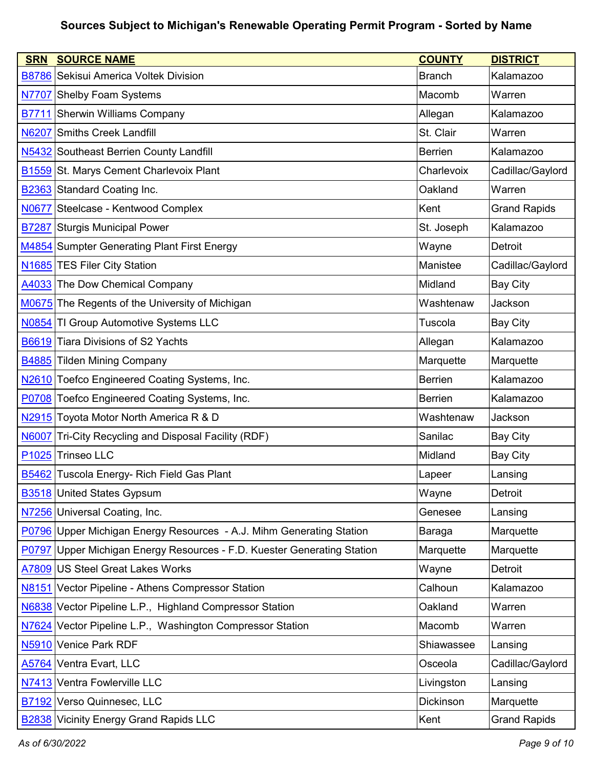| <b>SRN</b>        | <b>SOURCE NAME</b>                                                | <b>COUNTY</b>    | <b>DISTRICT</b>     |
|-------------------|-------------------------------------------------------------------|------------------|---------------------|
|                   | <b>B8786 Sekisui America Voltek Division</b>                      | <b>Branch</b>    | Kalamazoo           |
|                   | N7707 Shelby Foam Systems                                         | Macomb           | Warren              |
| B7711             | <b>Sherwin Williams Company</b>                                   | Allegan          | Kalamazoo           |
| <b>N6207</b>      | <b>Smiths Creek Landfill</b>                                      | St. Clair        | Warren              |
|                   | N5432 Southeast Berrien County Landfill                           | <b>Berrien</b>   | Kalamazoo           |
| <b>B1559</b>      | St. Marys Cement Charlevoix Plant                                 | Charlevoix       | Cadillac/Gaylord    |
|                   | <b>B2363</b> Standard Coating Inc.                                | Oakland          | Warren              |
| <b>N0677</b>      | Steelcase - Kentwood Complex                                      | Kent             | <b>Grand Rapids</b> |
| <b>B7287</b>      | <b>Sturgis Municipal Power</b>                                    | St. Joseph       | Kalamazoo           |
|                   | M4854 Sumpter Generating Plant First Energy                       | Wayne            | Detroit             |
|                   | N1685 TES Filer City Station                                      | Manistee         | Cadillac/Gaylord    |
| A4033             | The Dow Chemical Company                                          | Midland          | <b>Bay City</b>     |
|                   | M0675 The Regents of the University of Michigan                   | Washtenaw        | Jackson             |
| N0854             | TI Group Automotive Systems LLC                                   | Tuscola          | <b>Bay City</b>     |
| B6619             | Tiara Divisions of S2 Yachts                                      | Allegan          | Kalamazoo           |
| B4885             | <b>Tilden Mining Company</b>                                      | Marquette        | Marquette           |
| N2610             | Toefco Engineered Coating Systems, Inc.                           | <b>Berrien</b>   | Kalamazoo           |
| P0708             | Toefco Engineered Coating Systems, Inc.                           | <b>Berrien</b>   | Kalamazoo           |
|                   | N2915 Toyota Motor North America R & D                            | Washtenaw        | Jackson             |
| <b>N6007</b>      | Tri-City Recycling and Disposal Facility (RDF)                    | Sanilac          | <b>Bay City</b>     |
| P <sub>1025</sub> | <b>Trinseo LLC</b>                                                | Midland          | <b>Bay City</b>     |
| <b>B5462</b>      | Tuscola Energy- Rich Field Gas Plant                              | Lapeer           | Lansing             |
|                   | <b>B3518</b> United States Gypsum                                 | Wayne            | Detroit             |
| N7256             | Universal Coating, Inc.                                           | Genesee          | Lansing             |
| P0796             | Upper Michigan Energy Resources - A.J. Mihm Generating Station    | Baraga           | Marquette           |
| P0797             | Upper Michigan Energy Resources - F.D. Kuester Generating Station | Marquette        | Marquette           |
| A7809             | US Steel Great Lakes Works                                        | Wayne            | Detroit             |
| N8151             | Vector Pipeline - Athens Compressor Station                       | Calhoun          | Kalamazoo           |
| <b>N6838</b>      | Vector Pipeline L.P., Highland Compressor Station                 | Oakland          | Warren              |
| N7624             | Vector Pipeline L.P., Washington Compressor Station               | Macomb           | Warren              |
| N <sub>5910</sub> | Venice Park RDF                                                   | Shiawassee       | Lansing             |
| A5764             | Ventra Evart, LLC                                                 | Osceola          | Cadillac/Gaylord    |
| N7413             | Ventra Fowlerville LLC                                            | Livingston       | Lansing             |
| B7192             | Verso Quinnesec, LLC                                              | <b>Dickinson</b> | Marquette           |
|                   | <b>B2838</b> Vicinity Energy Grand Rapids LLC                     | Kent             | <b>Grand Rapids</b> |